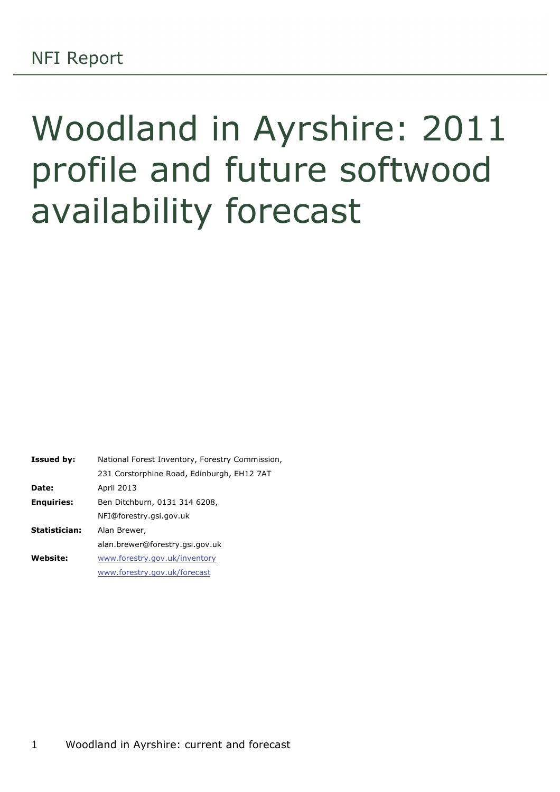# Woodland in Ayrshire: 2011 profile and future softwood availability forecast

| <b>Issued by:</b> | National Forest Inventory, Forestry Commission, |
|-------------------|-------------------------------------------------|
|                   | 231 Corstorphine Road, Edinburgh, EH12 7AT      |
| Date:             | April 2013                                      |
| <b>Enguiries:</b> | Ben Ditchburn, 0131 314 6208,                   |
|                   | NFI@forestry.gsi.gov.uk                         |
| Statistician:     | Alan Brewer,                                    |
|                   | alan.brewer@forestry.gsi.gov.uk                 |
| Website:          | www.forestry.gov.uk/inventory                   |
|                   | www.forestry.gov.uk/forecast                    |
|                   |                                                 |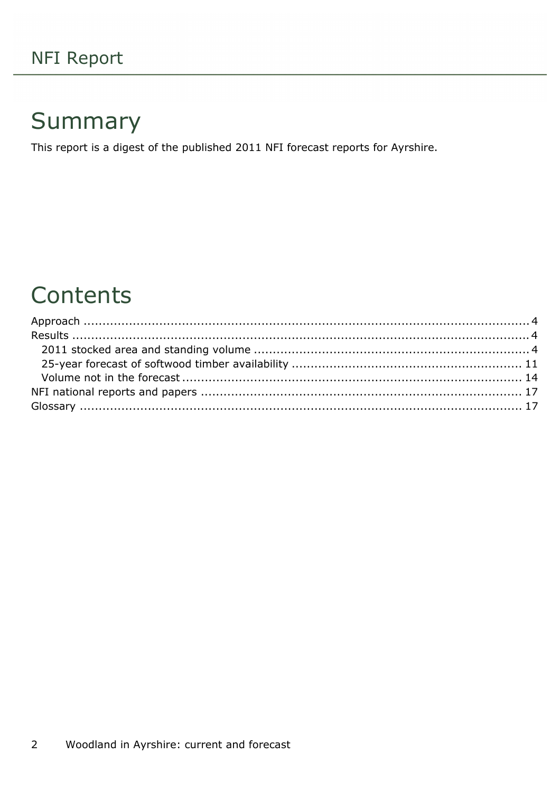## Summary

This report is a digest of the published 2011 NFI forecast reports for Ayrshire.

## Contents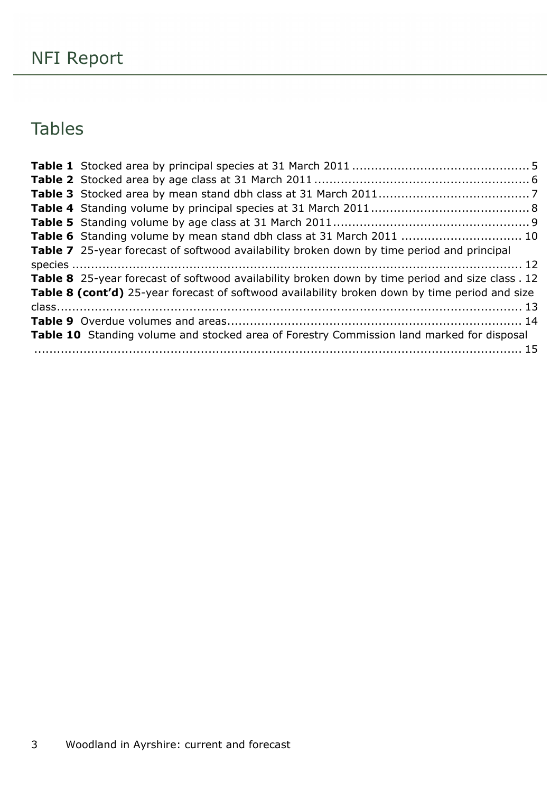## Tables

| Table 7 25-year forecast of softwood availability broken down by time period and principal       |  |
|--------------------------------------------------------------------------------------------------|--|
|                                                                                                  |  |
| Table 8 25-year forecast of softwood availability broken down by time period and size class . 12 |  |
| Table 8 (cont'd) 25-year forecast of softwood availability broken down by time period and size   |  |
|                                                                                                  |  |
|                                                                                                  |  |
| Table 10 Standing volume and stocked area of Forestry Commission land marked for disposal        |  |
|                                                                                                  |  |
|                                                                                                  |  |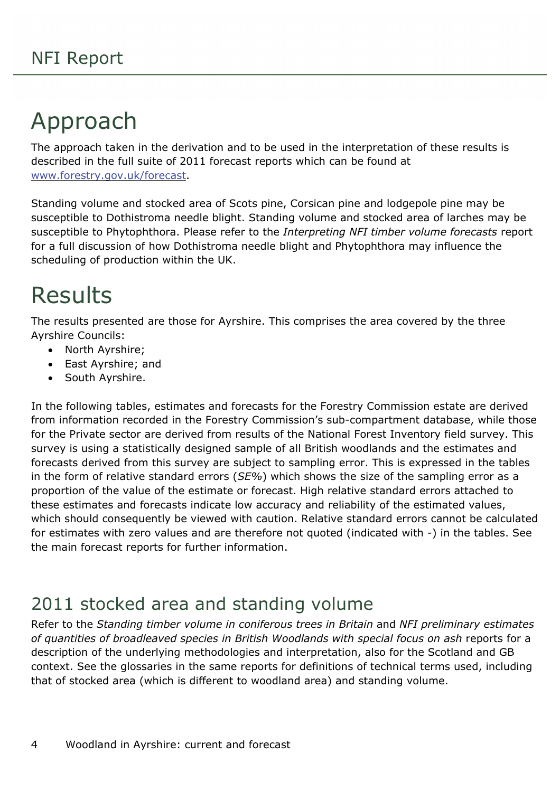## <span id="page-3-0"></span>Approach

The approach taken in the derivation and to be used in the interpretation of these results is described in the full suite of 2011 forecast reports which can be found at [www.forestry.gov.uk/forecast.](http://www.forestry.gov.uk/forecast)

Standing volume and stocked area of Scots pine, Corsican pine and lodgepole pine may be susceptible to Dothistroma needle blight. Standing volume and stocked area of larches may be susceptible to Phytophthora. Please refer to the *Interpreting NFI timber volume forecasts* report for a full discussion of how Dothistroma needle blight and Phytophthora may influence the scheduling of production within the UK.

## <span id="page-3-1"></span>Results

The results presented are those for Ayrshire. This comprises the area covered by the three Ayrshire Councils:

- North Ayrshire;
- East Ayrshire; and
- South Ayrshire.

In the following tables, estimates and forecasts for the Forestry Commission estate are derived from information recorded in the Forestry Commission's sub-compartment database, while those for the Private sector are derived from results of the National Forest Inventory field survey. This survey is using a statistically designed sample of all British woodlands and the estimates and forecasts derived from this survey are subject to sampling error. This is expressed in the tables in the form of relative standard errors (*SE%*) which shows the size of the sampling error as a proportion of the value of the estimate or forecast. High relative standard errors attached to these estimates and forecasts indicate low accuracy and reliability of the estimated values, which should consequently be viewed with caution. Relative standard errors cannot be calculated for estimates with zero values and are therefore not quoted (indicated with -) in the tables. See the main forecast reports for further information.

## <span id="page-3-2"></span>2011 stocked area and standing volume

Refer to the *Standing timber volume in coniferous trees in Britain* and *NFI preliminary estimates of quantities of broadleaved species in British Woodlands with special focus on ash* reports for a description of the underlying methodologies and interpretation, also for the Scotland and GB context. See the glossaries in the same reports for definitions of technical terms used, including that of stocked area (which is different to woodland area) and standing volume.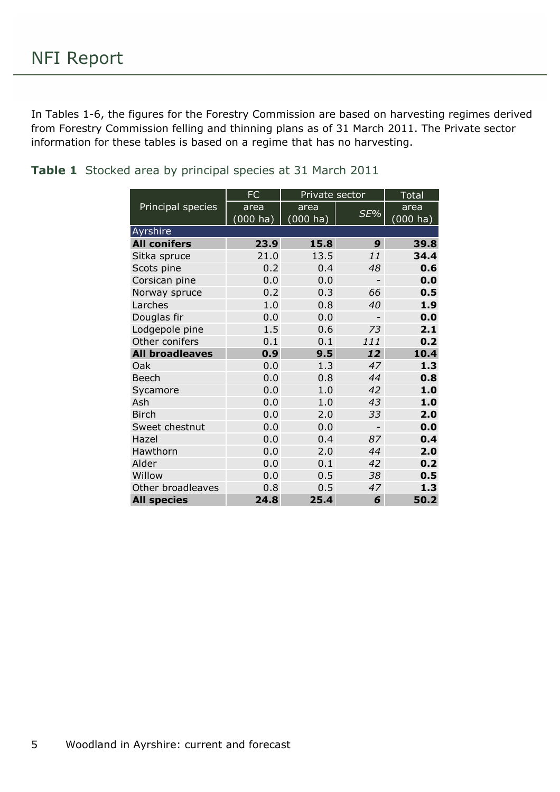In Tables 1-6, the figures for the Forestry Commission are based on harvesting regimes derived from Forestry Commission felling and thinning plans as of 31 March 2011. The Private sector information for these tables is based on a regime that has no harvesting.

<span id="page-4-0"></span>**Table 1** Stocked area by principal species at 31 March 2011

|                        | <b>FC</b>   | Private sector |                          | <b>Total</b>       |
|------------------------|-------------|----------------|--------------------------|--------------------|
| Principal species      | area        | area           |                          | area               |
|                        | $(000)$ ha) | $(000)$ ha)    | SE%                      | $(000 \text{ ha})$ |
| Ayrshire               |             |                |                          |                    |
| <b>All conifers</b>    | 23.9        | 15.8           | 9                        | 39.8               |
| Sitka spruce           | 21.0        | 13.5           | 11                       | 34.4               |
| Scots pine             | 0.2         | 0.4            | 48                       | 0.6                |
| Corsican pine          | 0.0         | 0.0            |                          | 0.0                |
| Norway spruce          | 0.2         | 0.3            | 66                       | 0.5                |
| Larches                | 1.0         | 0.8            | 40                       | 1.9                |
| Douglas fir            | 0.0         | 0.0            |                          | 0.0                |
| Lodgepole pine         | 1.5         | 0.6            | 73                       | 2.1                |
| Other conifers         | 0.1         | 0.1            | 111                      | 0.2                |
| <b>All broadleaves</b> | 0.9         | 9.5            | 12                       | 10.4               |
| Oak                    | 0.0         | 1.3            | 47                       | 1.3                |
| <b>Beech</b>           | 0.0         | 0.8            | 44                       | 0.8                |
| Sycamore               | 0.0         | 1.0            | 42                       | 1.0                |
| Ash                    | 0.0         | 1.0            | 43                       | 1.0                |
| <b>Birch</b>           | 0.0         | 2.0            | 33                       | 2.0                |
| Sweet chestnut         | 0.0         | 0.0            | $\overline{\phantom{0}}$ | 0.0                |
| Hazel                  | 0.0         | 0.4            | 87                       | 0.4                |
| Hawthorn               | 0.0         | 2.0            | 44                       | 2.0                |
| Alder                  | 0.0         | 0.1            | 42                       | 0.2                |
| Willow                 | 0.0         | 0.5            | 38                       | 0.5                |
| Other broadleaves      | 0.8         | 0.5            | 47                       | 1.3                |
| <b>All species</b>     | 24.8        | 25.4           | 6                        | 50.2               |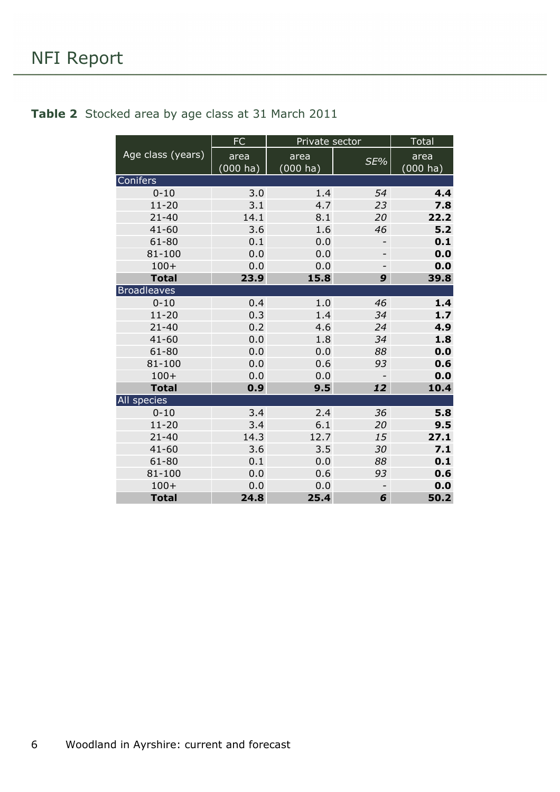#### <span id="page-5-0"></span>**Table 2** Stocked area by age class at 31 March 2011

|                    | <b>FC</b>   | Private sector |                          | <b>Total</b> |
|--------------------|-------------|----------------|--------------------------|--------------|
| Age class (years)  | area        | area           | SE%                      | area         |
|                    | $(000)$ ha) | (000 ha)       |                          | $(000)$ ha)  |
| Conifers           |             |                |                          |              |
| $0 - 10$           | 3.0         | 1.4            | 54                       | 4.4          |
| $11 - 20$          | 3.1         | 4.7            | 23                       | 7.8          |
| $21 - 40$          | 14.1        | 8.1            | 20                       | 22.2         |
| $41 - 60$          | 3.6         | 1.6            | 46                       | 5.2          |
| $61 - 80$          | 0.1         | 0.0            | -                        | 0.1          |
| 81-100             | 0.0         | 0.0            | $\overline{\phantom{0}}$ | 0.0          |
| $100+$             | 0.0         | 0.0            | -                        | 0.0          |
| <b>Total</b>       | 23.9        | 15.8           | 9                        | 39.8         |
| <b>Broadleaves</b> |             |                |                          |              |
| $0 - 10$           | 0.4         | 1.0            | 46                       | 1.4          |
| $11 - 20$          | 0.3         | 1.4            | 34                       | $1.7$        |
| $21 - 40$          | 0.2         | 4.6            | 24                       | 4.9          |
| $41 - 60$          | 0.0         | 1.8            | 34                       | 1.8          |
| $61 - 80$          | 0.0         | 0.0            | 88                       | 0.0          |
| $81 - 100$         | 0.0         | 0.6            | 93                       | 0.6          |
| $100+$             | 0.0         | 0.0            |                          | 0.0          |
| <b>Total</b>       | 0.9         | 9.5            | 12                       | 10.4         |
| All species        |             |                |                          |              |
| $0 - 10$           | 3.4         | 2.4            | 36                       | 5.8          |
| $11 - 20$          | 3.4         | 6.1            | 20                       | 9.5          |
| $21 - 40$          | 14.3        | 12.7           | 15                       | 27.1         |
| $41 - 60$          | 3.6         | 3.5            | 30                       | 7.1          |
| 61-80              | 0.1         | 0.0            | 88                       | 0.1          |
| 81-100             | 0.0         | 0.6            | 93                       | 0.6          |
| $100+$             | 0.0         | 0.0            |                          | 0.0          |
| <b>Total</b>       | 24.8        | 25.4           | 6                        | 50.2         |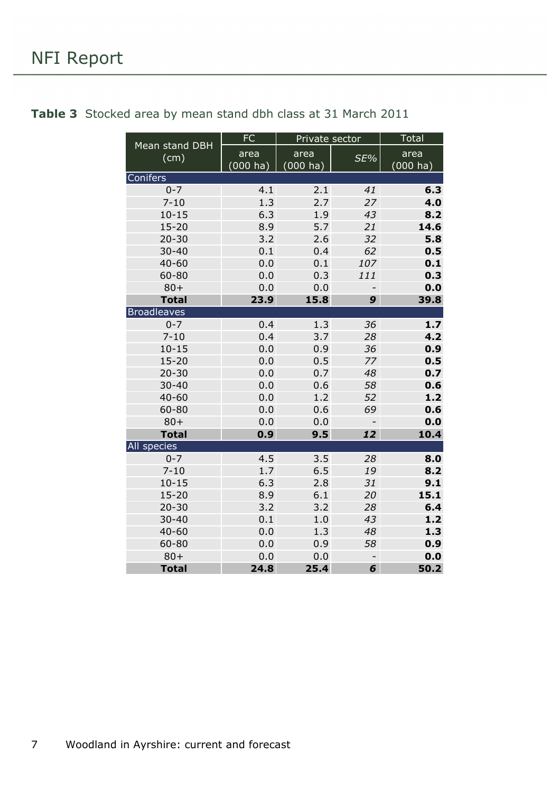| Mean stand DBH     | <b>FC</b> | Private sector     |     | <b>Total</b>       |
|--------------------|-----------|--------------------|-----|--------------------|
| (cm)               | area      | area               | SE% | area               |
|                    | (000 ha)  | $(000 \text{ ha})$ |     | $(000 \text{ ha})$ |
| Conifers           |           |                    |     |                    |
| $0 - 7$            | 4.1       | 2.1                | 41  | 6.3                |
| $7 - 10$           | 1.3       | 2.7                | 27  | 4.0                |
| $10 - 15$          | 6.3       | 1.9                | 43  | 8.2                |
| $15 - 20$          | 8.9       | 5.7                | 21  | 14.6               |
| $20 - 30$          | 3.2       | 2.6                | 32  | 5.8                |
| $30 - 40$          | 0.1       | 0.4                | 62  | 0.5                |
| $40 - 60$          | 0.0       | 0.1                | 107 | 0.1                |
| 60-80              | 0.0       | 0.3                | 111 | 0.3                |
| $80 +$             | 0.0       | 0.0                |     | 0.0                |
| <b>Total</b>       | 23.9      | 15.8               | 9   | 39.8               |
| <b>Broadleaves</b> |           |                    |     |                    |
| $0 - 7$            | 0.4       | 1.3                | 36  | 1.7                |
| $7 - 10$           | 0.4       | 3.7                | 28  | 4.2                |
| $10 - 15$          | 0.0       | 0.9                | 36  | 0.9                |
| $15 - 20$          | 0.0       | 0.5                | 77  | 0.5                |
| $20 - 30$          | 0.0       | 0.7                | 48  | 0.7                |
| $30 - 40$          | 0.0       | 0.6                | 58  | 0.6                |
| $40 - 60$          | 0.0       | 1.2                | 52  | 1.2                |
| 60-80              | 0.0       | 0.6                | 69  | 0.6                |
| $80 +$             | 0.0       | 0.0                | 0.0 |                    |
| <b>Total</b>       | 0.9       | 9.5                | 12  | 10.4               |
| All species        |           |                    |     |                    |
| $0 - 7$            | 4.5       | 3.5                | 28  | 8.0                |
| $7 - 10$           | 1.7       | 6.5                | 19  | 8.2                |
| $10 - 15$          | 6.3       | 2.8                | 31  | 9.1                |
| $15 - 20$          | 8.9       | 6.1                | 20  | 15.1               |
| $20 - 30$          | 3.2       | 3.2                | 28  | 6.4                |
| $30 - 40$          | 0.1       | 1.0                | 43  | 1.2                |
| $40 - 60$          | 0.0       | 1.3                | 48  | 1.3                |
| $60 - 80$          | 0.0       | 0.9                | 58  | 0.9                |
| $80 +$             | 0.0       | 0.0                |     | 0.0                |
| <b>Total</b>       | 24.8      | 25.4               | 6   | 50.2               |

### <span id="page-6-0"></span>**Table 3** Stocked area by mean stand dbh class at 31 March 2011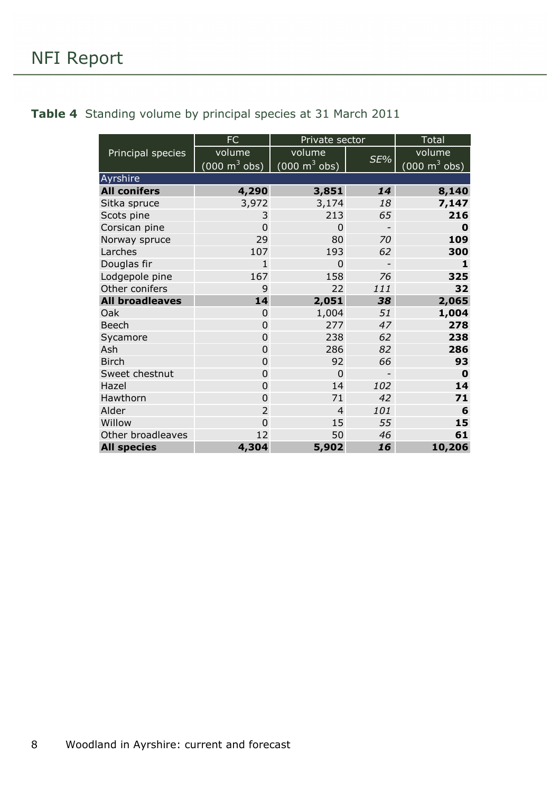#### <span id="page-7-0"></span>**Table 4** Standing volume by principal species at 31 March 2011

|                        | <b>FC</b>                       | Private sector                  |                          | <b>Total</b>                    |  |
|------------------------|---------------------------------|---------------------------------|--------------------------|---------------------------------|--|
| Principal species      | volume                          | volume                          |                          | volume                          |  |
|                        | $(000 \text{ m}^3 \text{ obs})$ | $(000 \text{ m}^3 \text{ obs})$ | SE%                      | $(000 \text{ m}^3 \text{ obs})$ |  |
| Ayrshire               |                                 |                                 |                          |                                 |  |
| <b>All conifers</b>    | 4,290                           | 3,851                           | 14                       | 8,140                           |  |
| Sitka spruce           | 3,972                           | 3,174                           | 18                       | 7,147                           |  |
| Scots pine             | 3                               | 213                             | 65                       | 216                             |  |
| Corsican pine          | $\overline{0}$                  | $\Omega$                        | $\overline{\phantom{a}}$ | $\bf{0}$                        |  |
| Norway spruce          | 29                              | 80                              | 70                       | 109                             |  |
| Larches                | 107                             | 193                             | 62                       | 300                             |  |
| Douglas fir            | $\overline{1}$                  | 0                               |                          | $\mathbf{1}$                    |  |
| Lodgepole pine         | 167                             | 158                             | 76                       | 325                             |  |
| Other conifers         | 9                               | 22                              | 111                      | 32                              |  |
| <b>All broadleaves</b> | 14                              | 2,051                           | 38                       | 2,065                           |  |
| Oak                    | $\Omega$                        | 1,004                           | 51                       | 1,004                           |  |
| <b>Beech</b>           | $\overline{0}$                  | 277                             | 47                       | 278                             |  |
| Sycamore               | 0                               | 238                             | 62                       | 238                             |  |
| Ash                    | $\Omega$                        | 286                             | 82                       | 286                             |  |
| <b>Birch</b>           | 0                               | 92                              | 66                       | 93                              |  |
| Sweet chestnut         | 0                               | 0                               | $\overline{a}$           | $\bf{0}$                        |  |
| Hazel                  | 0                               | 14                              | 102                      | 14                              |  |
| Hawthorn               | $\overline{0}$                  | 71                              | 42                       | 71                              |  |
| Alder                  | $\overline{2}$                  | $\overline{4}$                  | 101                      | 6                               |  |
| Willow                 | 0                               | 15                              | 55                       | 15                              |  |
| Other broadleaves      | 12                              | 50                              | 46                       | 61                              |  |
| <b>All species</b>     | 4,304                           | 5,902                           | 16                       | 10,206                          |  |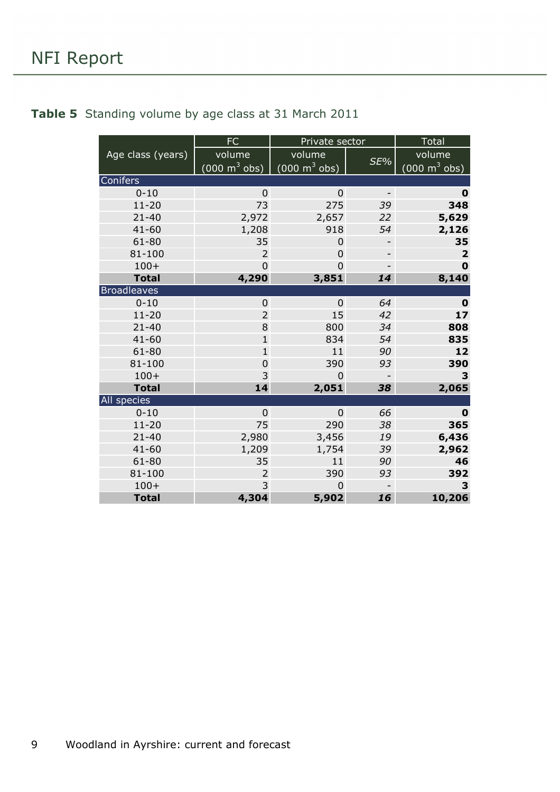### <span id="page-8-0"></span>**Table 5** Standing volume by age class at 31 March 2011

|                    | <b>FC</b>                       | Private sector                  |                              | <b>Total</b>                    |
|--------------------|---------------------------------|---------------------------------|------------------------------|---------------------------------|
| Age class (years)  | volume                          | volume                          |                              | volume                          |
|                    | $(000 \text{ m}^3 \text{ obs})$ | $(000 \text{ m}^3 \text{ obs})$ | SE%                          | $(000 \text{ m}^3 \text{ obs})$ |
| Conifers           |                                 |                                 |                              |                                 |
| $0 - 10$           | $\overline{0}$                  | $\overline{0}$                  | $\qquad \qquad \blacksquare$ | $\mathbf 0$                     |
| $11 - 20$          | 73                              | 275                             | 39                           | 348                             |
| $21 - 40$          | 2,972                           | 2,657                           | 22                           | 5,629                           |
| $41 - 60$          | 1,208                           | 918                             | 54                           | 2,126                           |
| $61 - 80$          | 35                              | 0                               | -                            | 35                              |
| 81-100             | $\overline{2}$                  | $\mathbf 0$                     | $\qquad \qquad$              | $\overline{\mathbf{2}}$         |
| $100+$             | 0                               | $\overline{0}$                  |                              | $\mathbf 0$                     |
| <b>Total</b>       | 4,290                           | 3,851                           | 14                           | 8,140                           |
| <b>Broadleaves</b> |                                 |                                 |                              |                                 |
| $0 - 10$           | 0                               | 0                               | 64                           | $\bf{0}$                        |
| $11 - 20$          | $\overline{2}$                  | 15                              | 42                           | 17                              |
| $21 - 40$          | 8                               | 800                             | 34                           | 808                             |
| $41 - 60$          | $\mathbf{1}$                    | 834                             | 54                           | 835                             |
| $61 - 80$          | $\mathbf{1}$                    | 11                              | 90                           | 12                              |
| $81 - 100$         | $\overline{0}$                  | 390                             | 93                           | 390                             |
| $100+$             | 3                               | 0                               |                              | 3                               |
| <b>Total</b>       | 14                              | 2,051                           | 38                           | 2,065                           |
| All species        |                                 |                                 |                              |                                 |
| $0 - 10$           | $\overline{0}$                  | $\overline{0}$                  | 66                           | 0                               |
| $11 - 20$          | 75                              | 290                             | 38                           | 365                             |
| $21 - 40$          | 2,980                           | 3,456                           | 19                           | 6,436                           |
| $41 - 60$          | 1,209                           | 1,754                           | 39                           | 2,962                           |
| $61 - 80$          | 35                              | 11                              | 90                           | 46                              |
| $81 - 100$         | $\overline{2}$                  | 390                             | 93                           | 392                             |
| $100+$             | 3                               | $\Omega$                        |                              | 3                               |
| <b>Total</b>       | 4,304                           | 5,902                           | 16                           | 10,206                          |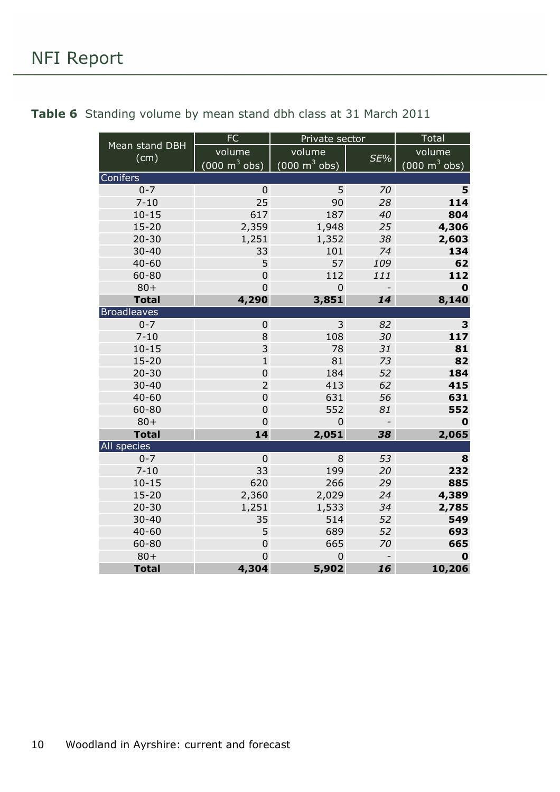|                        | <b>FC</b>                       | Private sector                  | <b>Total</b>   |                                 |
|------------------------|---------------------------------|---------------------------------|----------------|---------------------------------|
| Mean stand DBH<br>(cm) | volume                          | volume                          | SE%            | volume                          |
|                        | $(000 \text{ m}^3 \text{ obs})$ | $(000 \text{ m}^3 \text{ obs})$ |                | $(000 \text{ m}^3 \text{ obs})$ |
| Conifers               |                                 |                                 |                |                                 |
| $0 - 7$                | $\pmb{0}$                       | 5                               | 70             | 5                               |
| $7 - 10$               | 25                              | 90                              | 28             | 114                             |
| $10 - 15$              | 617                             | 187                             | 40             | 804                             |
| $15 - 20$              | 2,359                           | 1,948                           | 25             | 4,306                           |
| $20 - 30$              | 1,251                           | 1,352                           | 38             | 2,603                           |
| $30 - 40$              | 33                              | 101                             | 74             | 134                             |
| $40 - 60$              | 5                               | 57                              | 109            | 62                              |
| $60 - 80$              | $\boldsymbol{0}$                | 112                             | 111            | 112                             |
| $80 +$                 | $\overline{0}$                  | $\overline{0}$                  | $\overline{a}$ | $\mathbf 0$                     |
| <b>Total</b>           | 4,290                           | 3,851                           | 14             | 8,140                           |
| <b>Broadleaves</b>     |                                 |                                 |                |                                 |
| $0 - 7$                | $\boldsymbol{0}$                | 3                               | 82             | 3                               |
| $7 - 10$               | 8                               | 108                             | 30             | 117                             |
| $10 - 15$              | 3                               | 78                              | 31             | 81                              |
| $15 - 20$              | $\mathbf 1$                     | 81                              | 73             | 82                              |
| $20 - 30$              | $\boldsymbol{0}$                | 184                             | 52             | 184                             |
| $30 - 40$              | $\overline{2}$                  | 413                             | 62             | 415                             |
| $40 - 60$              | $\boldsymbol{0}$                | 631                             | 56             | 631                             |
| 60-80                  | $\boldsymbol{0}$                | 552                             | 81             | 552                             |
| $80 +$                 | $\mathbf 0$                     | $\mathbf 0$                     | $\overline{a}$ | $\mathbf 0$                     |
| <b>Total</b>           | 14                              | 2,051                           | 38             | 2,065                           |
| All species            |                                 |                                 |                |                                 |
| $0 - 7$                | $\mathbf 0$                     | 8                               | 53             | 8                               |
| $7 - 10$               | 33                              | 199                             | 20             | 232                             |
| $10 - 15$              | 620                             | 266                             | 29             | 885                             |
| $15 - 20$<br>$20 - 30$ | 2,360                           | 2,029                           | 24             | 4,389                           |
| $30 - 40$              | 1,251<br>35                     | 1,533<br>514                    | 34<br>52       | 2,785<br>549                    |
| $40 - 60$              | 5                               | 689                             | 52             | 693                             |
| 60-80                  | $\mathbf 0$                     | 665                             | 70             | 665                             |
| $80 +$                 | $\boldsymbol{0}$                | $\mathbf 0$                     | $\overline{a}$ | $\mathbf 0$                     |
| <b>Total</b>           | 4,304                           | 5,902                           | 16             | 10,206                          |

#### <span id="page-9-0"></span>**Table 6** Standing volume by mean stand dbh class at 31 March 2011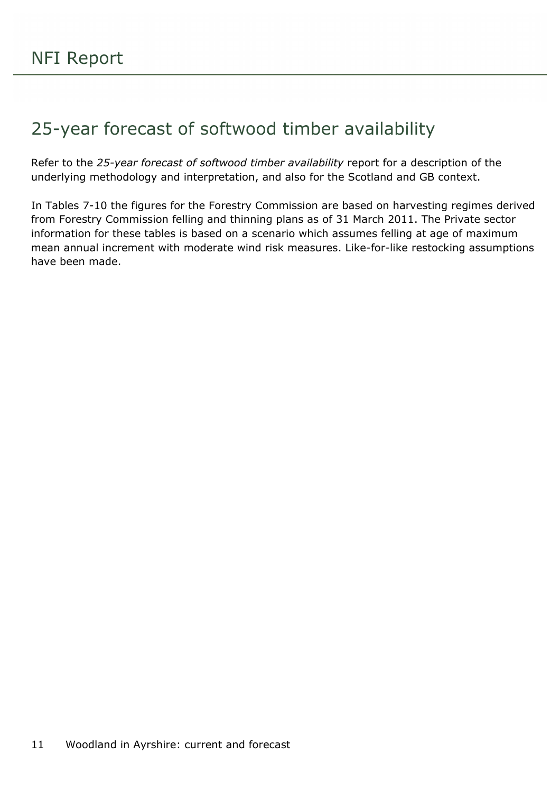## <span id="page-10-0"></span>25-year forecast of softwood timber availability

Refer to the *25-year forecast of softwood timber availability* report for a description of the underlying methodology and interpretation, and also for the Scotland and GB context.

In Tables 7-10 the figures for the Forestry Commission are based on harvesting regimes derived from Forestry Commission felling and thinning plans as of 31 March 2011. The Private sector information for these tables is based on a scenario which assumes felling at age of maximum mean annual increment with moderate wind risk measures. Like-for-like restocking assumptions have been made.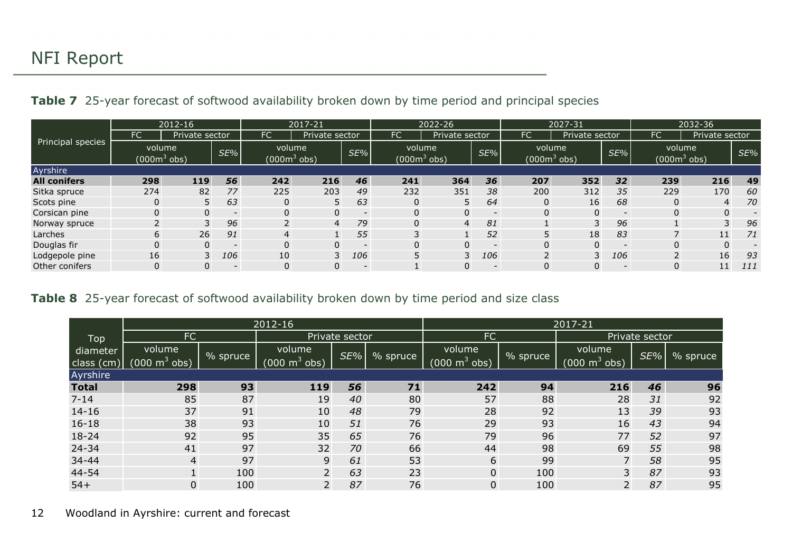| <b>Table 7</b> 25-year forecast of softwood availability broken down by time period and principal species |  |  |  |  |  |  |  |  |  |  |
|-----------------------------------------------------------------------------------------------------------|--|--|--|--|--|--|--|--|--|--|
|-----------------------------------------------------------------------------------------------------------|--|--|--|--|--|--|--|--|--|--|

|                     | 2012-16                |                | 2017-21                  |                 | 2022-26                                  |                          | 2027-31   |                                          |                          | 2032-36                            |                |        |                         |                |     |
|---------------------|------------------------|----------------|--------------------------|-----------------|------------------------------------------|--------------------------|-----------|------------------------------------------|--------------------------|------------------------------------|----------------|--------|-------------------------|----------------|-----|
|                     | <b>FC</b>              | Private sector |                          | FC.             | Private sector                           |                          | <b>FC</b> | Private sector                           |                          | <b>FC</b>                          | Private sector |        | FC                      | Private sector |     |
| Principal species   | volume<br>$(0003$ obs) |                | $SE\%$ $ $               |                 | volume<br>SE%<br>(000m <sup>3</sup> obs) |                          |           | volume<br>SE%<br>(000m <sup>3</sup> obs) |                          | volume<br>(000 $\mathsf{m}^3$ obs) |                | $SE\%$ | volume<br>$(000m3$ obs) |                | SE% |
| Ayrshire            |                        |                |                          |                 |                                          |                          |           |                                          |                          |                                    |                |        |                         |                |     |
| <b>All conifers</b> | 298                    | 119            | 56                       | 242             | 216                                      | 46                       | 241       | 364                                      | 36                       | 207                                | 352            | 32     | 239                     | 216            | 49  |
| Sitka spruce        | 274                    | 82             | 77                       | 225             | 203                                      | 49                       | 232       | 351                                      | 38                       | 200                                | 312            | 35     | 229                     | 170            | 60  |
| Scots pine          |                        |                | 63                       | 0               | 5                                        | 63                       | 0         | 5                                        | 64                       | $\Omega$                           | 16             | 68     | 0                       | 4              | 70  |
| Corsican pine       |                        | 0              | $\overline{\phantom{a}}$ | 0               | 0                                        | $\overline{\phantom{a}}$ | 0         | 0                                        | $\overline{\phantom{a}}$ | 0                                  | $\Omega$       |        | 0                       | 0              |     |
| Norway spruce       |                        |                | 96                       | $\overline{2}$  | $\overline{4}$                           | 79                       | $\Omega$  | $\overline{4}$                           | 81                       |                                    |                | 96     |                         | 3              | 96  |
| Larches             | 6                      | 26             | 91                       | 4               |                                          | 55                       | 3         |                                          | 52                       |                                    | 18             | 83     |                         | 11             | 71  |
| Douglas fir         |                        | 0              | $\overline{\phantom{0}}$ | 0               | 0                                        | $\overline{\phantom{0}}$ | 0         | 0                                        | $\overline{\phantom{0}}$ | 0                                  | $\Omega$       |        | 0                       | 0              |     |
| Lodgepole pine      | 16                     | 3              | 106                      | 10 <sub>1</sub> | 3                                        | 106                      | 5         | 3                                        | 106                      |                                    | 3              | 106    | $\overline{2}$          | 16             | 93  |
| Other conifers      |                        |                | $\overline{\phantom{0}}$ | 0               | $\Omega$                                 | $-$                      |           |                                          | $\overline{\phantom{a}}$ |                                    |                |        | 0                       | 11             | 111 |

#### **Table 8** 25-year forecast of softwood availability broken down by time period and size class

|                          |                                     |          | 2012-16                    |                |          |                            | 2017-21  |                                      |                |          |
|--------------------------|-------------------------------------|----------|----------------------------|----------------|----------|----------------------------|----------|--------------------------------------|----------------|----------|
| Top                      | <b>FC</b>                           |          |                            | Private sector |          | <b>FC</b>                  |          |                                      | Private sector |          |
| diameter<br>class $(cm)$ | volume<br>(000 m $\mathrm{^3}$ obs) | % spruce | volume<br>(000 m $^3$ obs) | SE%            | % spruce | volume<br>(000 m $^3$ obs) | % spruce | volume<br>(000 m $\mathrm{^3}$ obs). | SE%            | % spruce |
| Ayrshire                 |                                     |          |                            |                |          |                            |          |                                      |                |          |
| <b>Total</b>             | 298                                 | 93       | 119                        | 56             | 71       | 242                        | 94       | 216                                  | 46             | 96       |
| $7 - 14$                 | 85                                  | 87       | 19                         | 40             | 80       | 57                         | 88       | 28                                   | 31             | 92       |
| $14 - 16$                | 37                                  | 91       | 10                         | 48             | 79       | 28                         | 92       | 13                                   | 39             | 93       |
| $16 - 18$                | 38                                  | 93       | 10                         | 51             | 76       | 29                         | 93       | 16                                   | 43             | 94       |
| $18 - 24$                | 92                                  | 95       | 35                         | 65             | 76       | 79                         | 96       | 77                                   | 52             | 97       |
| 24-34                    | 41                                  | 97       | 32                         | 70             | 66       | 44                         | 98       | 69                                   | 55             | 98       |
| 34-44                    | 4                                   | 97       | 9                          | 61             | 53       | 6                          | 99       | $\overline{7}$                       | 58             | 95       |
| 44-54                    | $\mathbf{1}$                        | 100      | $\overline{2}$             | 63             | 23       | $\mathbf 0$                | 100      | $\overline{3}$                       | 87             | 93       |
| $54+$                    | 0                                   | 100      | $\overline{2}$             | 87             | 76       | $\overline{0}$             | 100      | $\overline{2}$                       | 87             | 95       |

#### <span id="page-11-1"></span><span id="page-11-0"></span>12 Woodland in Ayrshire: current and forecast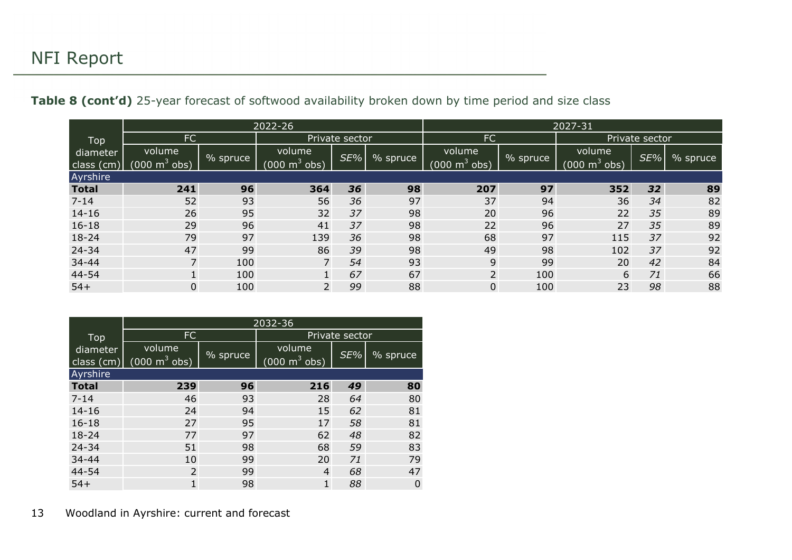Table 8 (cont'd) 25-year forecast of softwood availability broken down by time period and size class

|                        | 2022-26                            |          |                                       |     | 2027-31  |                                     |          |                             |     |          |
|------------------------|------------------------------------|----------|---------------------------------------|-----|----------|-------------------------------------|----------|-----------------------------|-----|----------|
| Top                    | <b>FC</b>                          |          | Private sector                        |     |          | <b>FC</b>                           |          | Private sector              |     |          |
| diameter<br>class (cm) | volume<br>(000 m <sup>3</sup> obs) | % spruce | volume<br>$000 \; \text{m}^3$<br>obs) | SE% | % spruce | volume<br>$000^\circ$<br>$m^3$ obs) | % spruce | volume<br>$m^3$ obs)<br>000 | SE% | % spruce |
| Ayrshire               |                                    |          |                                       |     |          |                                     |          |                             |     |          |
| <b>Total</b>           | 241                                | 96       | 364                                   | 36  | 98       | 207                                 | 97       | 352                         | 32  | 89       |
| $7 - 14$               | 52                                 | 93       | 56                                    | 36  | 97       | 37                                  | 94       | 36                          | 34  | 82       |
| $14 - 16$              | 26                                 | 95       | 32                                    | 37  | 98       | 20                                  | 96       | 22                          | 35  | 89       |
| $16 - 18$              | 29                                 | 96       | 41                                    | 37  | 98       | 22                                  | 96       | 27                          | 35  | 89       |
| $18 - 24$              | 79                                 | 97       | 139                                   | 36  | 98       | 68                                  | 97       | 115                         | 37  | 92       |
| 24-34                  | 47                                 | 99       | 86                                    | 39  | 98       | 49                                  | 98       | 102                         | 37  | 92       |
| 34-44                  | $\overline{7}$                     | 100      |                                       | 54  | 93       | 9                                   | 99       | 20                          | 42  | 84       |
| 44-54                  |                                    | 100      |                                       | 67  | 67       | $\overline{2}$                      | 100      | 6                           | 71  | 66       |
| $54+$                  | 0                                  | 100      | 2                                     | 99  | 88       | $\pmb{0}$                           | 100      | 23                          | 98  | 88       |

|                          | 2032-36                                       |                      |                                           |     |          |  |  |  |
|--------------------------|-----------------------------------------------|----------------------|-------------------------------------------|-----|----------|--|--|--|
| Top                      | FC                                            |                      | Private sector                            |     |          |  |  |  |
| diameter<br>class $(cm)$ | volume<br>$(000 \; \text{m}^3 \; \text{obs})$ | $\frac{9}{6}$ spruce | volume<br>$(000 \text{ m}^3 \text{ obs})$ | SE% | % spruce |  |  |  |
| Ayrshire                 |                                               |                      |                                           |     |          |  |  |  |
| <b>Total</b>             | 239                                           | 96                   | 216                                       | 49  | 80       |  |  |  |
| $7 - 14$                 | 46                                            | 93                   | 28                                        | 64  | 80       |  |  |  |
| $14 - 16$                | 24                                            | 94                   | 15                                        | 62  | 81       |  |  |  |
| $16 - 18$                | 27                                            | 95                   | 17                                        | 58  | 81       |  |  |  |
| $18 - 24$                | 77                                            | 97                   | 62                                        | 48  | 82       |  |  |  |
| $24 - 34$                | 51                                            | 98                   | 68                                        | 59  | 83       |  |  |  |
| $34 - 44$                | 10                                            | 99                   | 20                                        | 71  | 79       |  |  |  |
| 44-54                    | 2                                             | 99                   | 4                                         | 68  | 47       |  |  |  |
| $54+$                    | 1                                             | 98                   |                                           | 88  | 0        |  |  |  |

<span id="page-12-0"></span>13 Woodland in Ayrshire: current and forecast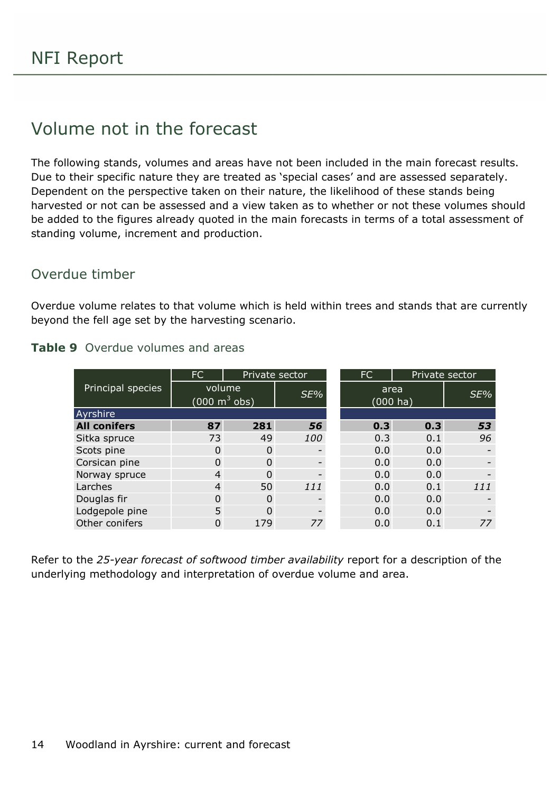### <span id="page-13-0"></span>Volume not in the forecast

The following stands, volumes and areas have not been included in the main forecast results. Due to their specific nature they are treated as 'special cases' and are assessed separately. Dependent on the perspective taken on their nature, the likelihood of these stands being harvested or not can be assessed and a view taken as to whether or not these volumes should be added to the figures already quoted in the main forecasts in terms of a total assessment of standing volume, increment and production.

#### Overdue timber

Overdue volume relates to that volume which is held within trees and stands that are currently beyond the fell age set by the harvesting scenario.

|                       | FC                                        | Private sector |     |                     | <b>FC</b> | Private sector |     |
|-----------------------|-------------------------------------------|----------------|-----|---------------------|-----------|----------------|-----|
| Principal species     | volume<br>$(000 \text{ m}^3 \text{ obs})$ | SE%            |     | area<br>$(000)$ ha) |           | SE%            |     |
| Ayrshire <sup>'</sup> |                                           |                |     |                     |           |                |     |
| <b>All conifers</b>   | 87                                        | 281            | 56  |                     | 0.3       | 0.3            | 53  |
| Sitka spruce          | 73                                        | 49             | 100 |                     | 0.3       | 0.1            | 96  |
| Scots pine            | 0                                         | 0              |     |                     | 0.0       | 0.0            |     |
| Corsican pine         | 0                                         | 0              |     |                     | 0.0       | 0.0            |     |
| Norway spruce         | 4                                         | 0              |     |                     | 0.0       | 0.0            |     |
| Larches               | 4                                         | 50             | 111 |                     | 0.0       | 0.1            | 111 |
| Douglas fir           | 0                                         | $\Omega$       |     |                     | 0.0       | 0.0            |     |
| Lodgepole pine        | 5.                                        | 0              |     |                     | 0.0       | 0.0            |     |
| Other conifers        | 0                                         | 179            | 77  |                     | 0.0       | 0.1            | 77  |

#### <span id="page-13-1"></span>**Table 9** Overdue volumes and areas

Refer to the *25-year forecast of softwood timber availability* report for a description of the underlying methodology and interpretation of overdue volume and area.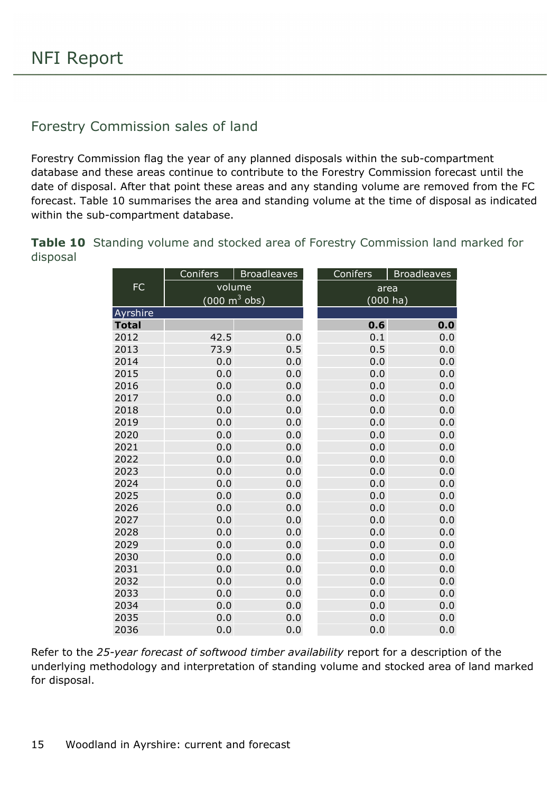#### Forestry Commission sales of land

Forestry Commission flag the year of any planned disposals within the sub-compartment database and these areas continue to contribute to the Forestry Commission forecast until the date of disposal. After that point these areas and any standing volume are removed from the FC forecast. Table 10 summarises the area and standing volume at the time of disposal as indicated within the sub-compartment database.

<span id="page-14-0"></span>**Table 10** Standing volume and stocked area of Forestry Commission land marked for disposal

|              | Conifers                        | <b>Broadleaves</b> | Conifers    | <b>Broadleaves</b> |  |
|--------------|---------------------------------|--------------------|-------------|--------------------|--|
| ${\sf FC}$   | volume                          |                    | area        |                    |  |
|              | $(000 \text{ m}^3 \text{ obs})$ |                    | $(000)$ ha) |                    |  |
| Ayrshire     |                                 |                    |             |                    |  |
| <b>Total</b> |                                 |                    | 0.6         | 0.0                |  |
| 2012         | 42.5                            | 0.0                | 0.1         | 0.0                |  |
| 2013         | 73.9                            | 0.5                | 0.5         | 0.0                |  |
| 2014         | 0.0                             | 0.0                | 0.0         | 0.0                |  |
| 2015         | 0.0                             | 0.0                | 0.0         | 0.0                |  |
| 2016         | 0.0                             | 0.0                | 0.0         | 0.0                |  |
| 2017         | 0.0                             | 0.0                | 0.0         | 0.0                |  |
| 2018         | 0.0                             | 0.0                | 0.0         | 0.0                |  |
| 2019         | 0.0                             | 0.0                | 0.0         | 0.0                |  |
| 2020         | 0.0                             | 0.0                | 0.0         | 0.0                |  |
| 2021         | 0.0                             | 0.0                | 0.0         | 0.0                |  |
| 2022         | 0.0                             | 0.0                | 0.0         | 0.0                |  |
| 2023         | 0.0                             | 0.0                | 0.0         | 0.0                |  |
| 2024         | 0.0                             | 0.0                | 0.0         | 0.0                |  |
| 2025         | 0.0                             | 0.0                | 0.0         | 0.0                |  |
| 2026         | 0.0                             | 0.0                | 0.0         | 0.0                |  |
| 2027         | 0.0                             | 0.0                | 0.0         | 0.0                |  |
| 2028         | 0.0                             | 0.0                | 0.0         | 0.0                |  |
| 2029         | 0.0                             | 0.0                | 0.0         | 0.0                |  |
| 2030         | 0.0                             | 0.0                | 0.0         | 0.0                |  |
| 2031         | 0.0                             | 0.0                | 0.0         | 0.0                |  |
| 2032         | 0.0                             | 0.0                | 0.0         | 0.0                |  |
| 2033         | 0.0                             | 0.0                | 0.0         | 0.0                |  |
| 2034         | 0.0                             | 0.0                | 0.0         | 0.0                |  |
| 2035         | 0.0                             | 0.0                | 0.0         | 0.0                |  |
| 2036         | 0.0                             | 0.0                | 0.0         | 0.0                |  |

Refer to the *25-year forecast of softwood timber availability* report for a description of the underlying methodology and interpretation of standing volume and stocked area of land marked for disposal.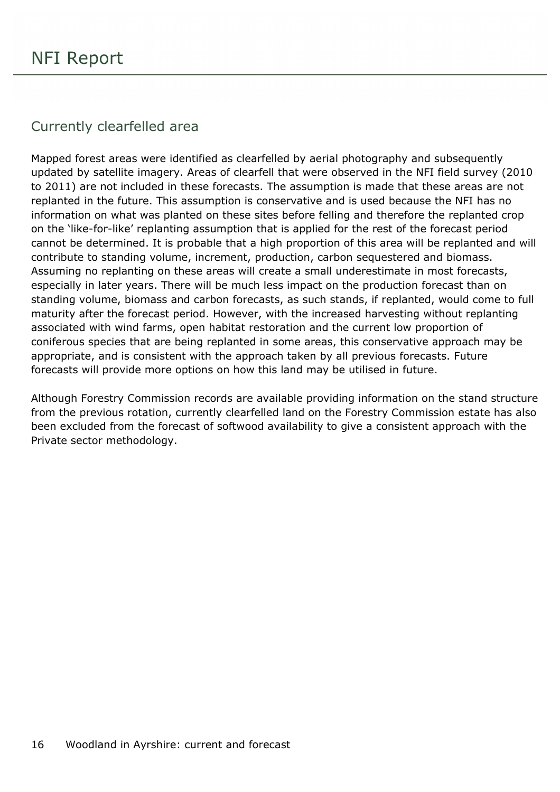#### Currently clearfelled area

Mapped forest areas were identified as clearfelled by aerial photography and subsequently updated by satellite imagery. Areas of clearfell that were observed in the NFI field survey (2010 to 2011) are not included in these forecasts. The assumption is made that these areas are not replanted in the future. This assumption is conservative and is used because the NFI has no information on what was planted on these sites before felling and therefore the replanted crop on the 'like-for-like' replanting assumption that is applied for the rest of the forecast period cannot be determined. It is probable that a high proportion of this area will be replanted and will contribute to standing volume, increment, production, carbon sequestered and biomass. Assuming no replanting on these areas will create a small underestimate in most forecasts, especially in later years. There will be much less impact on the production forecast than on standing volume, biomass and carbon forecasts, as such stands, if replanted, would come to full maturity after the forecast period. However, with the increased harvesting without replanting associated with wind farms, open habitat restoration and the current low proportion of coniferous species that are being replanted in some areas, this conservative approach may be appropriate, and is consistent with the approach taken by all previous forecasts. Future forecasts will provide more options on how this land may be utilised in future.

Although Forestry Commission records are available providing information on the stand structure from the previous rotation, currently clearfelled land on the Forestry Commission estate has also been excluded from the forecast of softwood availability to give a consistent approach with the Private sector methodology.